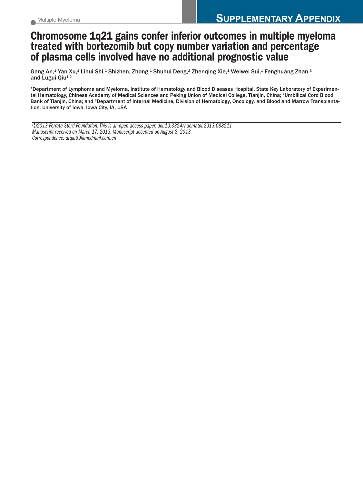## **Chromosome 1q21 gains confer inferior outcomes in multiple myeloma treated with bortezomib but copy number variation and percentage of plasma cells involved have no additional prognostic value**

Gang An, $^{\text{1}}$  Yan Xu, $^{\text{1}}$  Lihui Shi, $^{\text{1}}$  Shizhen, Zhong, $^{\text{1}}$  Shuhui Deng, $^{\text{2}}$  Zhenqing Xie, $^{\text{1}}$  Weiwei Sui, $^{\text{1}}$  Fenghuang Zhan, $^{\text{3}}$ and Lugui Qiu<sup>1,2</sup>

1Department of Lymphoma and Myeloma, Institute of Hematology and Blood Diseases Hospital, State Key Laboratory of Experimental Hematology, Chinese Academy of Medical Sciences and Peking Union of Medical College, Tianjin, China; 2Umbilical Cord Blood Bank of Tianjin, China; and <sup>3</sup>Department of Internal Medicine, Division of Hematology, Oncology, and Blood and Marrow Transplantation, University of Iowa, Iowa City, IA, USA

*©2013 Ferrata Storti Foundation.This is an open-access paper.doi:10.3324/haematol.2013.088211 Manuscript received on March 17, 2013. Manuscript accepted on August 8, 2013. Correspondence: drqiu99@medmail.com.cn*